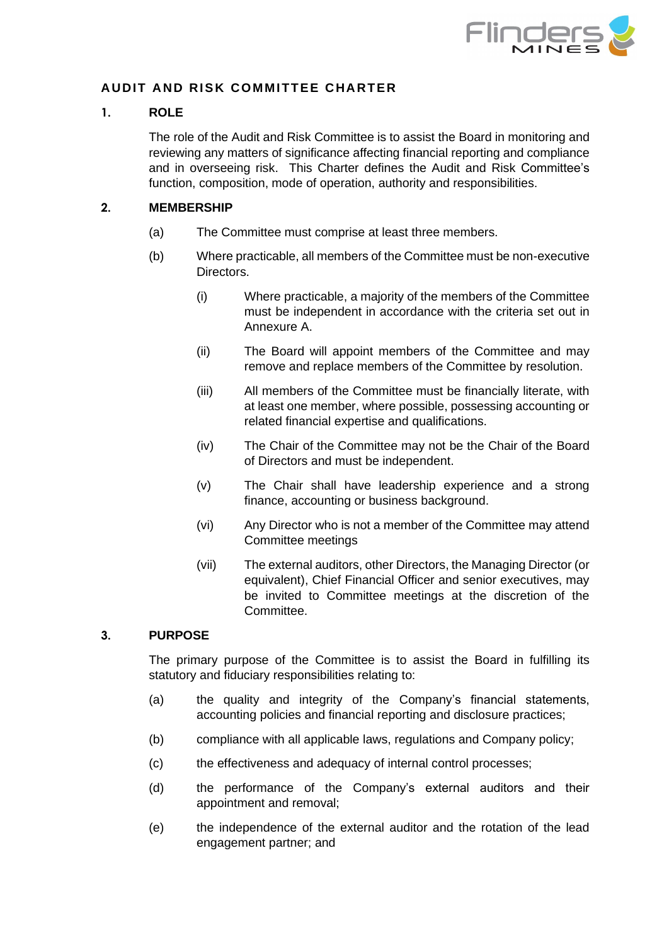

## **AUDIT AND RISK COMMITTEE CHARTER**

#### **1. ROLE**

The role of the Audit and Risk Committee is to assist the Board in monitoring and reviewing any matters of significance affecting financial reporting and compliance and in overseeing risk. This Charter defines the Audit and Risk Committee's function, composition, mode of operation, authority and responsibilities.

### **2. MEMBERSHIP**

- (a) The Committee must comprise at least three members.
- (b) Where practicable, all members of the Committee must be non-executive Directors.
	- (i) Where practicable, a majority of the members of the Committee must be independent in accordance with the criteria set out in Annexure A.
	- (ii) The Board will appoint members of the Committee and may remove and replace members of the Committee by resolution.
	- (iii) All members of the Committee must be financially literate, with at least one member, where possible, possessing accounting or related financial expertise and qualifications.
	- (iv) The Chair of the Committee may not be the Chair of the Board of Directors and must be independent.
	- (v) The Chair shall have leadership experience and a strong finance, accounting or business background.
	- (vi) Any Director who is not a member of the Committee may attend Committee meetings
	- (vii) The external auditors, other Directors, the Managing Director (or equivalent), Chief Financial Officer and senior executives, may be invited to Committee meetings at the discretion of the Committee.

#### **3. PURPOSE**

The primary purpose of the Committee is to assist the Board in fulfilling its statutory and fiduciary responsibilities relating to:

- (a) the quality and integrity of the Company's financial statements, accounting policies and financial reporting and disclosure practices;
- (b) compliance with all applicable laws, regulations and Company policy;
- (c) the effectiveness and adequacy of internal control processes;
- (d) the performance of the Company's external auditors and their appointment and removal;
- (e) the independence of the external auditor and the rotation of the lead engagement partner; and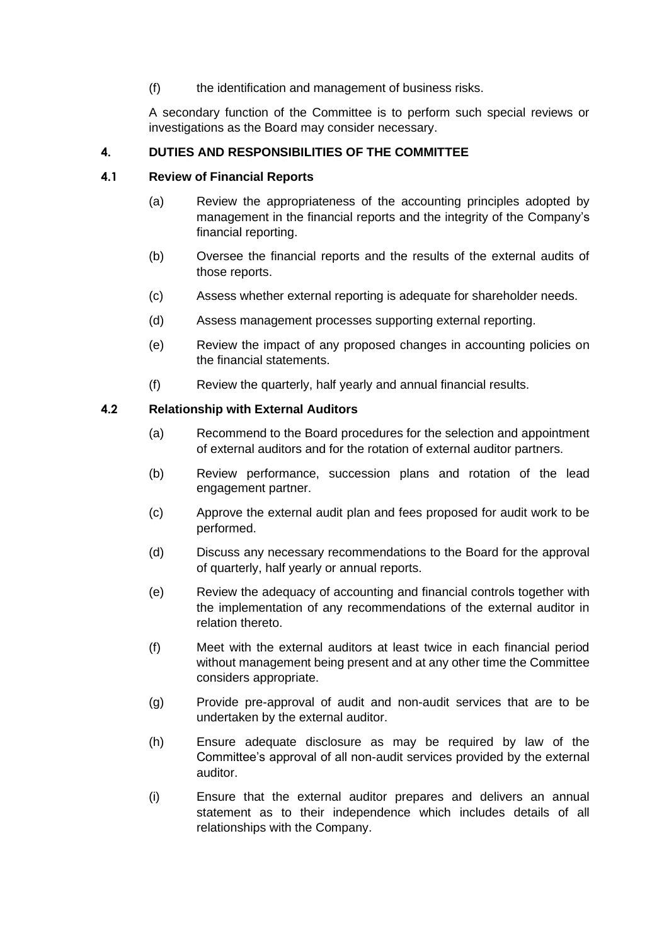(f) the identification and management of business risks.

A secondary function of the Committee is to perform such special reviews or investigations as the Board may consider necessary.

### **4. DUTIES AND RESPONSIBILITIES OF THE COMMITTEE**

### **4.1 Review of Financial Reports**

- (a) Review the appropriateness of the accounting principles adopted by management in the financial reports and the integrity of the Company's financial reporting.
- (b) Oversee the financial reports and the results of the external audits of those reports.
- (c) Assess whether external reporting is adequate for shareholder needs.
- (d) Assess management processes supporting external reporting.
- (e) Review the impact of any proposed changes in accounting policies on the financial statements.
- (f) Review the quarterly, half yearly and annual financial results.

### **4.2 Relationship with External Auditors**

- (a) Recommend to the Board procedures for the selection and appointment of external auditors and for the rotation of external auditor partners.
- (b) Review performance, succession plans and rotation of the lead engagement partner.
- (c) Approve the external audit plan and fees proposed for audit work to be performed.
- (d) Discuss any necessary recommendations to the Board for the approval of quarterly, half yearly or annual reports.
- (e) Review the adequacy of accounting and financial controls together with the implementation of any recommendations of the external auditor in relation thereto.
- (f) Meet with the external auditors at least twice in each financial period without management being present and at any other time the Committee considers appropriate.
- (g) Provide pre-approval of audit and non-audit services that are to be undertaken by the external auditor.
- (h) Ensure adequate disclosure as may be required by law of the Committee's approval of all non-audit services provided by the external auditor.
- (i) Ensure that the external auditor prepares and delivers an annual statement as to their independence which includes details of all relationships with the Company.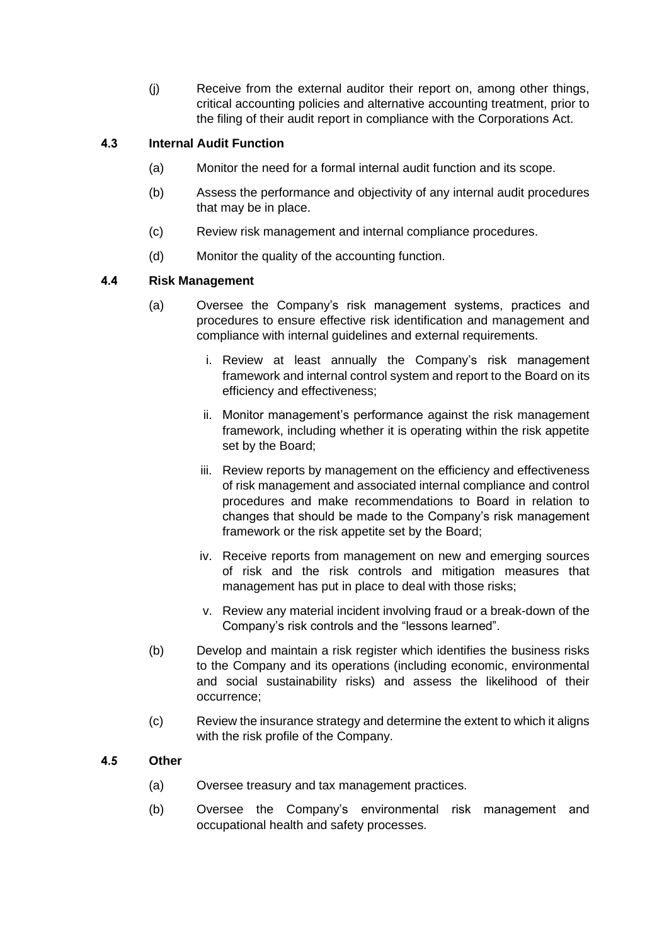(j) Receive from the external auditor their report on, among other things, critical accounting policies and alternative accounting treatment, prior to the filing of their audit report in compliance with the Corporations Act.

# **4.3 Internal Audit Function**

- (a) Monitor the need for a formal internal audit function and its scope.
- (b) Assess the performance and objectivity of any internal audit procedures that may be in place.
- (c) Review risk management and internal compliance procedures.
- (d) Monitor the quality of the accounting function.

### **4.4 Risk Management**

- (a) Oversee the Company's risk management systems, practices and procedures to ensure effective risk identification and management and compliance with internal guidelines and external requirements.
	- i. Review at least annually the Company's risk management framework and internal control system and report to the Board on its efficiency and effectiveness;
	- ii. Monitor management's performance against the risk management framework, including whether it is operating within the risk appetite set by the Board;
	- iii. Review reports by management on the efficiency and effectiveness of risk management and associated internal compliance and control procedures and make recommendations to Board in relation to changes that should be made to the Company's risk management framework or the risk appetite set by the Board;
	- iv. Receive reports from management on new and emerging sources of risk and the risk controls and mitigation measures that management has put in place to deal with those risks;
	- v. Review any material incident involving fraud or a break-down of the Company's risk controls and the "lessons learned".
- (b) Develop and maintain a risk register which identifies the business risks to the Company and its operations (including economic, environmental and social sustainability risks) and assess the likelihood of their occurrence;
- (c) Review the insurance strategy and determine the extent to which it aligns with the risk profile of the Company.

### **4.5 Other**

- (a) Oversee treasury and tax management practices.
- (b) Oversee the Company's environmental risk management and occupational health and safety processes.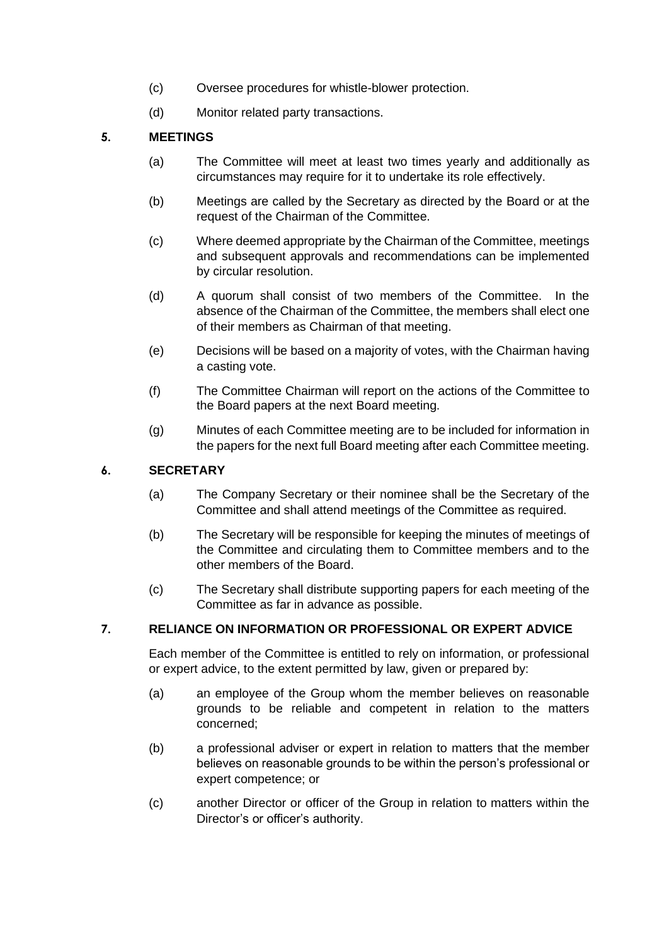- (c) Oversee procedures for whistle-blower protection.
- (d) Monitor related party transactions.

# **5. MEETINGS**

- (a) The Committee will meet at least two times yearly and additionally as circumstances may require for it to undertake its role effectively.
- (b) Meetings are called by the Secretary as directed by the Board or at the request of the Chairman of the Committee.
- (c) Where deemed appropriate by the Chairman of the Committee, meetings and subsequent approvals and recommendations can be implemented by circular resolution.
- (d) A quorum shall consist of two members of the Committee. In the absence of the Chairman of the Committee, the members shall elect one of their members as Chairman of that meeting.
- (e) Decisions will be based on a majority of votes, with the Chairman having a casting vote.
- (f) The Committee Chairman will report on the actions of the Committee to the Board papers at the next Board meeting.
- (g) Minutes of each Committee meeting are to be included for information in the papers for the next full Board meeting after each Committee meeting.

### **6. SECRETARY**

- (a) The Company Secretary or their nominee shall be the Secretary of the Committee and shall attend meetings of the Committee as required.
- (b) The Secretary will be responsible for keeping the minutes of meetings of the Committee and circulating them to Committee members and to the other members of the Board.
- (c) The Secretary shall distribute supporting papers for each meeting of the Committee as far in advance as possible.

# **7. RELIANCE ON INFORMATION OR PROFESSIONAL OR EXPERT ADVICE**

Each member of the Committee is entitled to rely on information, or professional or expert advice, to the extent permitted by law, given or prepared by:

- (a) an employee of the Group whom the member believes on reasonable grounds to be reliable and competent in relation to the matters concerned;
- (b) a professional adviser or expert in relation to matters that the member believes on reasonable grounds to be within the person's professional or expert competence; or
- (c) another Director or officer of the Group in relation to matters within the Director's or officer's authority.